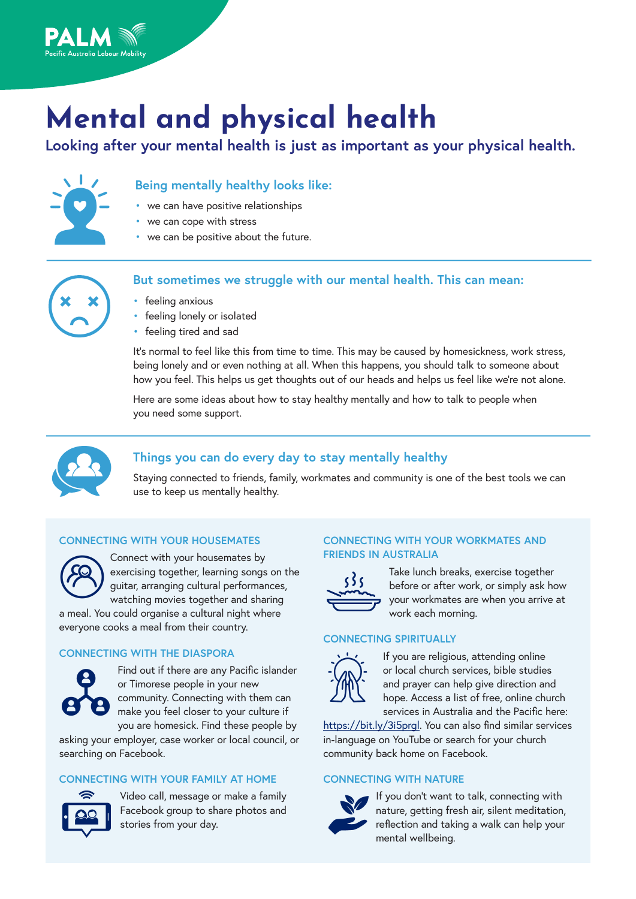

# **Mental and physical health**

**Looking after your mental health is just as important as your physical health.**



## **Being mentally healthy looks like:**

- we can have positive relationships
- we can cope with stress
- we can be positive about the future.



### **But sometimes we struggle with our mental health. This can mean:**

- feeling anxious
- feeling lonely or isolated
- feeling tired and sad

It's normal to feel like this from time to time. This may be caused by homesickness, work stress, being lonely and or even nothing at all. When this happens, you should talk to someone about how you feel. This helps us get thoughts out of our heads and helps us feel like we're not alone.

Here are some ideas about how to stay healthy mentally and how to talk to people when you need some support.



## **Things you can do every day to stay mentally healthy**

Staying connected to friends, family, workmates and community is one of the best tools we can use to keep us mentally healthy.

#### **CONNECTING WITH YOUR HOUSEMATES**



Connect with your housemates by exercising together, learning songs on the guitar, arranging cultural performances, watching movies together and sharing a meal. You could organise a cultural night where

everyone cooks a meal from their country.

#### **CONNECTING WITH THE DIASPORA**



Find out if there are any Pacific islander or Timorese people in your new community. Connecting with them can make you feel closer to your culture if you are homesick. Find these people by

asking your employer, case worker or local council, or searching on Facebook.

#### **CONNECTING WITH YOUR FAMILY AT HOME**



Video call, message or make a family Facebook group to share photos and stories from your day.

#### **CONNECTING WITH YOUR WORKMATES AND FRIENDS IN AUSTRALIA**



Take lunch breaks, exercise together before or after work, or simply ask how your workmates are when you arrive at work each morning.

#### **CONNECTING SPIRITUALLY**



If you are religious, attending online or local church services, bible studies and prayer can help give direction and hope. Access a list of free, online church services in Australia and the Pacific here:

[https://bit.ly/3i5prgl.](https://bit.ly/3i5prgl) You can also find similar services in-language on YouTube or search for your church community back home on Facebook.

#### **CONNECTING WITH NATURE**



If you don't want to talk, connecting with nature, getting fresh air, silent meditation, reflection and taking a walk can help your mental wellbeing.